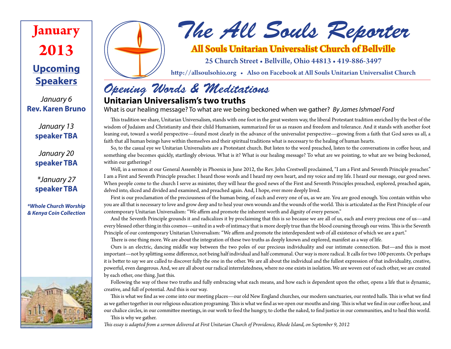**Upcoming Speakers January 2013**

*January 6* **Rev. Karen Bruno**

> *January 13* **speaker TBA**

> *January 20* **speaker TBA**

> *\*January 27* **speaker TBA**

*\*Whole Church Worship & Kenya Coin Collection*





# *The All Souls Reporter*

All Souls Unitarian Universalist Church of Bellville

25 Church Street • Bellville, Ohio 44813 • 419-886-3497

http://allsoulsohio.org • Also on Facebook at All Souls Unitarian Universalist Church

## *Opening Words & Meditations*

## **Unitarian Universalism's two truths**

What is our healing message? To what are we being beckoned when we gather? *By James Ishmael Ford*

This tradition we share, Unitarian Universalism, stands with one foot in the great western way, the liberal Protestant tradition enriched by the best of the wisdom of Judaism and Christianity and their child Humanism, summarized for us as reason and freedom and tolerance. And it stands with another foot leaning out, toward a world perspective—found most clearly in the advance of the universalist perspective—growing from a faith that God saves us all, a faith that all human beings have within themselves and their spiritual traditions what is necessary to the healing of human hearts.

So, to the casual eye we Unitarian Universalists are a Protestant church. But listen to the word preached, listen to the conversations in coffee hour, and something else becomes quickly, startlingly obvious. What is it? What is our healing message? To what are we pointing, to what are we being beckoned, within our gatherings?

Well, in a sermon at our General Assembly in Phoenix in June 2012, the Rev. John Crestwell proclaimed, "I am a First and Seventh Principle preacher." I am a First and Seventh Principle preacher. I heard those words and I heard my own heart, and my voice and my life. I heard our message, our good news. When people come to the church I serve as minister, they will hear the good news of the First and Seventh Principles preached, explored, preached again, delved into, sliced and divided and examined, and preached again. And, I hope, ever more deeply lived.

First is our proclamation of the preciousness of the human being, of each and every one of us, as we are. You are good enough. You contain within who you are all that is necessary to love and grow deep and to heal your own wounds and the wounds of the world. This is articulated as the First Principle of our contemporary Unitarian Universalism: "We affirm and promote the inherent worth and dignity of every person."

And the Seventh Principle grounds it and radicalizes it by proclaiming that this is so because we are all of us, each and every precious one of us—and every blessed other thing in this cosmos—united in a web of intimacy that is more deeply true than the blood coursing through our veins. This is the Seventh Principle of our contemporary Unitarian Universalism: "We affirm and promote the interdependent web of all existence of which we are a part."

There is one thing more. We are about the integration of these two truths as deeply known and explored, manifest as a way of life.

Ours is an electric, dancing middle way between the two poles of our precious individuality and our intimate connection. But—and this is most important—not by splitting some difference, not being half individual and half communal. Our way is more radical. It calls for two 100 percents. Or perhaps it is better to say we are called to discover fully the one in the other. We are all about the individual and the fullest expression of that individuality, creative, powerful, even dangerous. And, we are all about our radical interrelatedness, where no one exists in isolation. We are woven out of each other, we are created by each other, one thing. Just this.

Following the way of these two truths and fully embracing what each means, and how each is dependent upon the other, opens a life that is dynamic, creative, and full of potential. And this is our way.

This is what we find as we come into our meeting places—our old New England churches, our modern sanctuaries, our rented halls. This is what we find as we gather together in our religious education programing. This is what we find as we open our mouths and sing. This is what we find in our coffee hour, and our chalice circles, in our committee meetings, in our work to feed the hungry, to clothe the naked, to find justice in our communities, and to heal this world.

This is why we gather. *This essay is adapted from a sermon delivered at First Unitarian Church of Providence, Rhode Island, on September 9, 2012*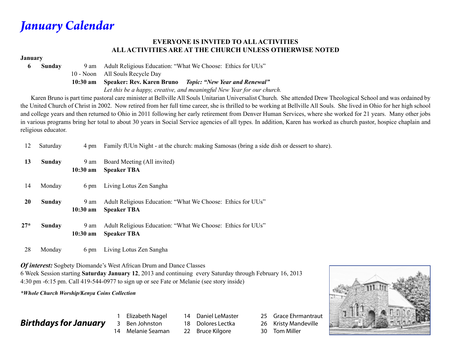*January Calendar*

#### **EVERYONE IS INVITED TO ALL ACTIVITIES ALL ACTIVITIES ARE AT THE CHURCH UNLESS OTHERWISE NOTED**

#### **January**

**6 Sunday** 9 am Adult Religious Education: "What We Choose: Ethics for UUs"

10 - Noon All Souls Recycle Day

 **10:30 am Speaker: Rev. Karen Bruno** *Topic: "New Year and Renewal"*

 *Let this be a happy, creative, and meaningful New Year for our church.*

 Karen Bruno is part time pastoral care minister at Bellville All Souls Unitarian Universalist Church. She attended Drew Theological School and was ordained by the United Church of Christ in 2002. Now retired from her full time career, she is thrilled to be working at Bellville All Souls. She lived in Ohio for her high school and college years and then returned to Ohio in 2011 following her early retirement from Denver Human Services, where she worked for 21 years. Many other jobs in various programs bring her total to about 30 years in Social Service agencies of all types. In addition, Karen has worked as church pastor, hospice chaplain and religious educator.

| 12        | Saturday | 4 pm                       | Family fUUn Night - at the church: making Samosas (bring a side dish or dessert to share). |  |  |
|-----------|----------|----------------------------|--------------------------------------------------------------------------------------------|--|--|
| 13        | Sunday   | 9 am<br>$10:30 \text{ am}$ | Board Meeting (All invited)<br><b>Speaker TBA</b>                                          |  |  |
| 14        | Monday   | 6 pm                       | Living Lotus Zen Sangha                                                                    |  |  |
| <b>20</b> | Sunday   | 9 am<br>$10:30$ am         | Adult Religious Education: "What We Choose: Ethics for UUs"<br><b>Speaker TBA</b>          |  |  |
| $27*$     | Sunday   | 9 am<br>$10:30$ am         | Adult Religious Education: "What We Choose: Ethics for UUs"<br><b>Speaker TBA</b>          |  |  |
|           |          |                            |                                                                                            |  |  |

28 Monday 6 pm Living Lotus Zen Sangha

*Of interest:* Sogbety Diomande's West African Drum and Dance Classes

6 Week Session starting **Saturday January 12**, 2013 and continuing every Saturday through February 16, 2013 4:30 pm -6:15 pm. Call 419-544-0977 to sign up or see Fate or Melanie (see story inside)

*\*Whole Church Worship/Kenya Coins Collection*

## *Birthdays for January*

1 Elizabeth Nagel 3 Ben Johnston 14 Melanie Seaman 14 Daniel LeMaster 18 Dolores Lectka

22 Bruce Kilgore

25 Grace Ehrmantraut 26 Kristy Mandeville 30 Tom Miller

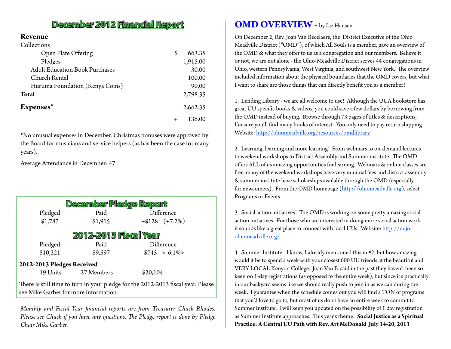## **December 2012 Financial Report**

#### **Revenue**  $C_1$  H  $\sim$  Collections

| COHECTIONS                            |    |          |
|---------------------------------------|----|----------|
| Open Plate Offering                   | \$ | 663.35   |
| Pledges                               |    | 1,915.00 |
| <b>Adult Education Book Purchases</b> |    | 30.00    |
| Church Rental                         |    | 100.00   |
| Huruma Foundation (Kenya Coins)       |    | 90.00    |
| <b>Total</b>                          |    | 2,798.35 |
| Expenses*                             |    | 2,662.35 |
|                                       |    | 136.00   |

\*No unusual expenses in December. Christmas bonuses were approved by the Board for musicians and service helpers (as has been the case for many years).

Average Attendance in December: 47

| <b>December Pledge Report</b> |            |                                                                                  |  |  |  |  |  |  |
|-------------------------------|------------|----------------------------------------------------------------------------------|--|--|--|--|--|--|
| Pledged                       | Paid       | Difference                                                                       |  |  |  |  |  |  |
| \$1,787                       | \$1,915    | $+ $128 (+7.2\%)$                                                                |  |  |  |  |  |  |
| <b>2012-2013 Fiscal Year</b>  |            |                                                                                  |  |  |  |  |  |  |
| Pledged                       | Paid       | Difference                                                                       |  |  |  |  |  |  |
| \$10,221                      | \$9,597    | $-$745 < -6.1\%$                                                                 |  |  |  |  |  |  |
| 2012-2013 Pledges Received    |            |                                                                                  |  |  |  |  |  |  |
| 19 Units                      | 27 Members | \$20,104                                                                         |  |  |  |  |  |  |
|                               |            | There is still time to turn in your pledge for the 2012-2013 fiscal year. Please |  |  |  |  |  |  |

see Mike Garber for more information.

*Monthly and Fiscal Year financial reports are from Treasurer Chuck Rhodes. Please see Chuck if you have any questions. The Pledge report is done by Pledge Chair Mike Garber.*

## **OMD OVERVIEW - by Liz Hansen**

On December 2, Rev. Joan Van Becelaere, the District Executive of the Ohio Meadville District ("OMD"), of which All Souls is a member, gave an overview of the OMD & what they offer to us as a congregation and our members. Believe it or not, we are not alone - the Ohio-Meadville District serves 44 congregations in Ohio, western Pennsylvania, West Virginia, and southwest New York. The overview included information about the physical boundaries that the OMD covers, but what I want to share are those things that can directly benefit you as a member!

1. Lending Library - we are all welcome to use! Although the UUA bookstore has great UU specific books & videos, you could save a few dollars by borrowing from the OMD instead of buying. Browse through 73 pages of titles & descriptions, I'm sure you'll find many books of interest. You only need to pay return shipping. Website: http://ohiomeadville.org/resources/omdlibrary

2. Learning, learning and more learning! From webinars to on-demand lectures to weekend workshops to District Assembly and Summer institute. The OMD offers ALL of us amazing opportunities for learning. Webinars & online classes are free, many of the weekend workshops have very minimal fees and district assembly & summer institute have scholarships available through the OMD (especially for newcomers). From the OMD homepage (http://ohiomeadville.org), select Programs or Events

3. Social action initiatives! The OMD is working on some pretty amazing social action initiatives. For those who are interested in doing more social action work it sounds like a great place to connect with local UUs. Website: http://uujo. ohiomeadville.org/

4. Summer Institute - I know, I already mentioned this in #2, but how amazing would it be to spend a week with your closest 600 UU friends at the beautiful and VERY LOCAL Kenyon College. Joan Van B. said in the past they haven't been so keen on 1-day registrations (as opposed to the entire week), but since it's practically in our backyard seems like we should really push to join in as we can during the week. I guarantee when the schedule comes out you will find a TON of programs that you'd love to go to, but most of us don't have an entire week to commit to Summer Institute. I will keep you updated on the possibility of 1 day registration as Summer Institute approaches. This year's theme: **Social Justice as a Spiritual Practice: A Central UU Path with Rev. Art McDonald July 14-20, 2013**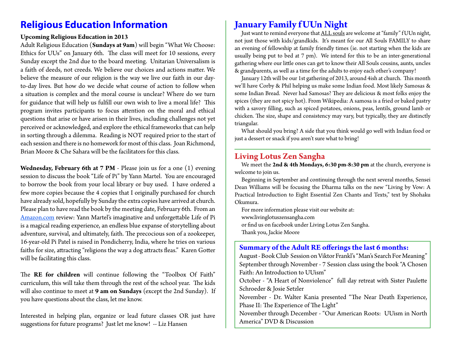## **Religious Education Information**

#### **Upcoming Religious Education in 2013**

Adult Religious Education (**Sundays at 9am**) will begin "What We Choose: Ethics for UUs" on January 6th. The class will meet for 10 sessions, every Sunday except the 2nd due to the board meeting. Unitarian Universalism is a faith of deeds, not creeds. We believe our choices and actions matter. We believe the measure of our religion is the way we live our faith in our dayto-day lives. But how do we decide what course of action to follow when a situation is complex and the moral course is unclear? Where do we turn for guidance that will help us fulfill our own wish to live a moral life? This program invites participants to focus attention on the moral and ethical questions that arise or have arisen in their lives, including challenges not yet perceived or acknowledged, and explore the ethical frameworks that can help in sorting through a dilemma. Reading is NOT required prior to the start of each session and there is no homework for most of this class. Joan Richmond, Brian Moore & Che Sahara will be the facilitators for this class.

**Wednesday, February 6th at 7 PM** - Please join us for a one (1) evening session to discuss the book "Life of Pi" by Yann Martel. You are encouraged to borrow the book from your local library or buy used. I have ordered a few more copies because the 4 copies that I originally purchased for church have already sold, hopefully by Sunday the extra copies have arrived at church. Please plan to have read the book by the meeting date, February 6th. From an Amazon.com review: Yann Martel's imaginative and unforgettable Life of Pi is a magical reading experience, an endless blue expanse of storytelling about adventure, survival, and ultimately, faith. The precocious son of a zookeeper, 16-year-old Pi Patel is raised in Pondicherry, India, where he tries on various faiths for size, attracting "religions the way a dog attracts fleas." Karen Gotter will be facilitating this class.

The **RE for children** will continue following the "Toolbox Of Faith" curriculum, this will take them through the rest of the school year. The kids will also continue to meet at **9 am on Sundays** (except the 2nd Sunday). If you have questions about the class, let me know.

Interested in helping plan, organize or lead future classes OR just have suggestions for future programs? Just let me know! -- Liz Hansen

## **January Family f UUn Night**

Just want to remind everyone that ALL souls are welcome at "family" f UUn night, not just those with kids/grandkids. It's meant for our All Souls FAMILY to share an evening of fellowship at family friendly times (ie. not starting when the kids are usually being put to bed at 7 pm). We intend for this to be an inter-generational gathering where our little ones can get to know their All Souls cousins, aunts, uncles & grandparents, as well as a time for the adults to enjoy each other's company!

January 12th will be our 1st gathering of 2013, around 4ish at church. This month we'll have Corby & Phil helping us make some Indian food. Most likely Samosas & some Indian Bread. Never had Samosas? They are delicious & most folks enjoy the spices (they are not spicy hot). From Wikipedia: A samosa is a fried or baked pastry with a savory filling, such as spiced potatoes, onions, peas, lentils, ground lamb or chicken. The size, shape and consistency may vary, but typically, they are distinctly triangular.

What should you bring? A side that you think would go well with Indian food or just a dessert or snack if you aren't sure what to bring!

### **Living Lotus Zen Sangha**

We meet the **2nd & 4th Mondays, 6:30 pm-8:30 pm** at the church, everyone is welcome to join us.

Beginning in September and continuing through the next several months, Sensei Dean Williams will be focusing the Dharma talks on the new "Living by Vow: A Practical Introduction to Eight Essential Zen Chants and Texts," text by Shohaku Okumura.

For more information please visit our website at:

www.livinglotuszensangha.com

or find us on facebook under Living Lotus Zen Sangha.

Thank you, Jackie Moore

### **Summary of the Adult RE offerings the last 6 months:**

August - Book Club Session on Viktor Frankl's "Man's Search For Meaning" September through November - 7 Session class using the book "A Chosen Faith: An Introduction to UUism" October - "A Heart of Nonviolence" full day retreat with Sister Paulette Schroeder & Josie Setzler November - Dr. Walter Kania presented "The Near Death Experience, Phase II: The Experience of The Light" November through December - "Our American Roots: UUism in North America" DVD & Discussion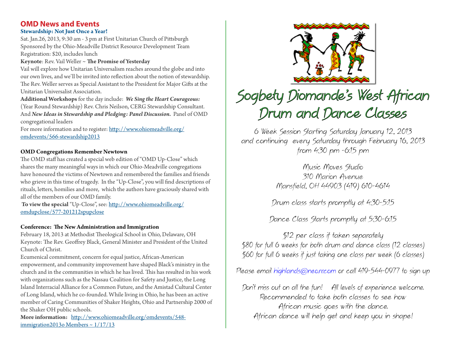#### **Stewardship: Not Just Once a Year! OMD News and Events**

Sat. Jan.26, 2013, 9:30 am - 3 pm at First Unitarian Church of Pittsburgh Sponsored by the Ohio-Meadville District Resource Development Team Registration: \$20, includes lunch

#### **Keynote**: Rev. Vail Weller ~ **The Promise of Yesterday**

Vail will explore how Unitarian Universalism reaches around the globe and into our own lives, and we'll be invited into reflection about the notion of stewardship. The Rev. Weller serves as Special Assistant to the President for Major Gifts at the Unitarian Universalist Association.

**Additional Workshops** for the day include: *We Sing the Heart Courageous:* (Year Round Stewardship) Rev. Chris Neilson, CERG Stewardship Consultant. And *New Ideas in Stewardship and Pledging: Panel Discussion*. Panel of OMD congregational leaders

For more information and to register: http://www.ohiomeadville.org/ omdevents/566-stewardship2013

#### **OMD Congregations Remember Newtown**

The OMD staff has created a special web edition of "OMD Up-Close" which shares the many meaningful ways in which our Ohio-Meadville congregations have honoured the victims of Newtown and remembered the families and friends who grieve in this time of tragedy. In the "Up-Close", you will find descriptions of rituals, letters, homilies and more, which the authors have graciously shared with all of the members of our OMD family.

 **To view the special** "Up-Close", see: http://www.ohiomeadville.org/ omdupclose/577-201212spupclose

#### **Conference: The New Administration and Immigration**

February 18, 2013 at Methodist Theological School in Ohio, Delaware, OH Keynote: The Rev. Geoffrey Black, General Minister and President of the United Church of Christ.

Ecumenical commitment, concern for equal justice, African-American empowerment, and community improvement have shaped Black's ministry in the church and in the communities in which he has lived. This has resulted in his work with organizations such as the Nassau Coalition for Safety and Justice, the Long Island Interracial Alliance for a Common Future, and the Amistad Cultural Center of Long Island, which he co-founded. While living in Ohio, he has been an active member of Caring Communities of Shaker Heights, Ohio and Partnership 2000 of the Shaker OH public schools.

More information: http://www.ohiomeadville.org/omdevents/548immigration2013o Members  $\sim 1/17/13$ 



# Sogbety Diomande's West African Drum and Dance Classes

6 Week Session Starting Saturday January 12, 2013 and continuing every Saturday through February 16, 2013 from 4:30 pm -6:15 pm

> Music Moves Studio 310 Marion Avenue Mansfield, OH 44903 (419) 610-4614

Drum class starts promptly at 4:30-5:15

Dance Class Starts promptly at 5:30-6:15

\$12 per class if taken separately \$80 for full 6 weeks for both drum and dance class (12 classes) \$60 for full 6 weeks if just taking one class per week (6 classes)

Please email highlands@neo.rr.com or call 419-544-0977 to sign up

Don't miss out on all the fun! All levels of experience welcome. Recommended to take both classes to see how African music goes with the dance. African dance will help get and keep you in shape!